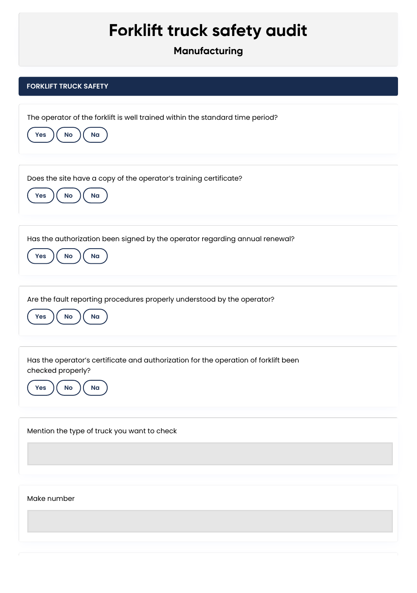## **Forklift truck safety audit**

**Manufacturing**

| <b>FORKLIFT TRUCK SAFETY</b>                                                                                                       |
|------------------------------------------------------------------------------------------------------------------------------------|
| The operator of the forklift is well trained within the standard time period?<br>No<br>N <sub>a</sub><br>Yes                       |
| Does the site have a copy of the operator's training certificate?<br>No<br>Na<br>Yes                                               |
| Has the authorization been signed by the operator regarding annual renewal?<br>No<br>Na<br><b>Yes</b>                              |
| Are the fault reporting procedures properly understood by the operator?<br>No<br>Na<br>Yes                                         |
| Has the operator's certificate and authorization for the operation of forklift been<br>checked properly?<br>Yes<br><b>No</b><br>Na |
| Mention the type of truck you want to check                                                                                        |
| Make number                                                                                                                        |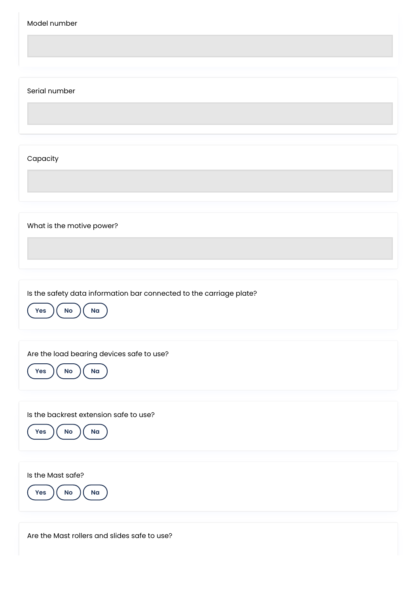| Model number                                                                                      |
|---------------------------------------------------------------------------------------------------|
| Serial number                                                                                     |
| Capacity                                                                                          |
| What is the motive power?                                                                         |
| Is the safety data information bar connected to the carriage plate?<br>Na<br>Yes<br>$\mathsf{No}$ |
| Are the load bearing devices safe to use?<br>$\mathsf{No}$<br>N <sub>a</sub><br><b>Yes</b>        |
| Is the backrest extension safe to use?<br>No<br>Na<br>Yes                                         |
| Is the Mast safe?<br>Na<br>$\mathsf{No}$<br>Yes                                                   |

Are the Mast rollers and slides safe to use?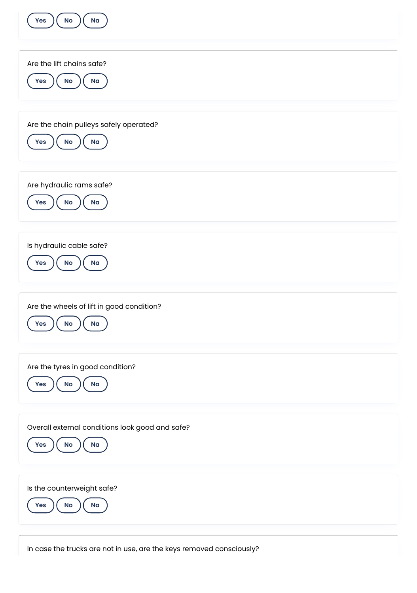| No<br>Na<br>Yes                                                                           |
|-------------------------------------------------------------------------------------------|
| Are the lift chains safe?<br>Yes<br>$\mathsf{No}$<br>Na                                   |
| Are the chain pulleys safely operated?<br>$\mathsf{No}$<br>Na<br>Yes                      |
| Are hydraulic rams safe?<br>Na<br>$\mathsf{No}$<br>Yes                                    |
| Is hydraulic cable safe?<br>Na<br>Yes<br>No                                               |
| Are the wheels of lift in good condition?<br>Yes<br><b>No</b><br>Na                       |
| Are the tyres in good condition?<br>Na<br>Yes<br>$\mathsf{No}$                            |
| Overall external conditions look good and safe?<br>$\mathsf{No}$<br>N <sub>a</sub><br>Yes |
| Is the counterweight safe?<br>Yes<br>$\mathsf{No}$<br>Na                                  |

In case the trucks are not in use, are the keys removed consciously?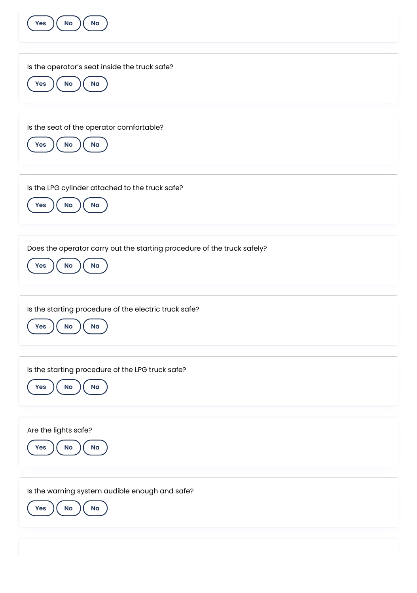| No<br>Na<br>Yes                                                                                   |
|---------------------------------------------------------------------------------------------------|
| Is the operator's seat inside the truck safe?<br>No<br>N <sub>a</sub><br><b>Yes</b>               |
| Is the seat of the operator comfortable?<br>$\mathsf{No}$<br>Na<br>Yes                            |
| Is the LPG cylinder attached to the truck safe?<br><b>No</b><br>Na<br>Yes                         |
| Does the operator carry out the starting procedure of the truck safely?<br>Na<br><b>Yes</b><br>No |
| Is the starting procedure of the electric truck safe?<br>Yes<br>No<br>Na                          |
| Is the starting procedure of the LPG truck safe?<br><b>Yes</b><br>$\mathsf{No}$<br>N <sub>a</sub> |
|                                                                                                   |
| Are the lights safe?<br><b>Yes</b><br>No<br>Na                                                    |